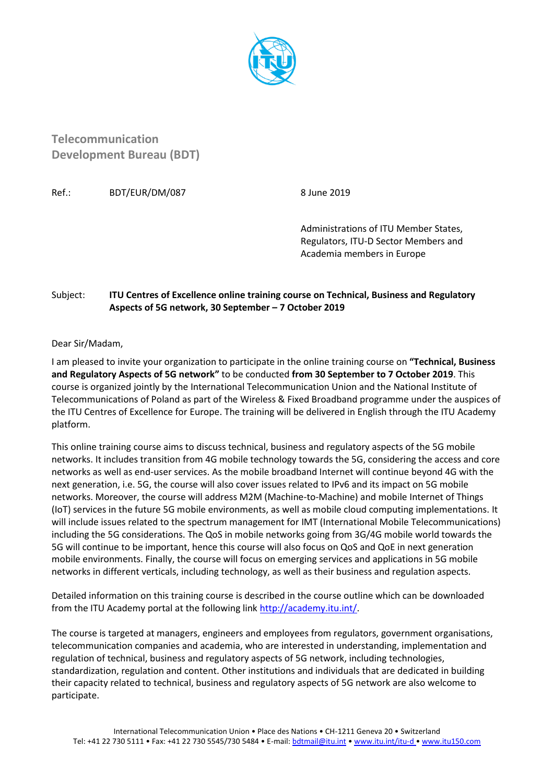

**Telecommunication Development Bureau (BDT)**

Ref.: BDT/EUR/DM/087 8 June 2019

Administrations of ITU Member States, Regulators, ITU-D Sector Members and Academia members in Europe

## Subject: **ITU Centres of Excellence online training course on Technical, Business and Regulatory Aspects of 5G network, 30 September – 7 October 2019**

Dear Sir/Madam,

I am pleased to invite your organization to participate in the online training course on **"Technical, Business and Regulatory Aspects of 5G network"** to be conducted **from 30 September to 7 October 2019**. This course is organized jointly by the International Telecommunication Union and the National Institute of Telecommunications of Poland as part of the Wireless & Fixed Broadband programme under the auspices of the ITU Centres of Excellence for Europe. The training will be delivered in English through the ITU Academy platform.

This online training course aims to discuss technical, business and regulatory aspects of the 5G mobile networks. It includes transition from 4G mobile technology towards the 5G, considering the access and core networks as well as end-user services. As the mobile broadband Internet will continue beyond 4G with the next generation, i.e. 5G, the course will also cover issues related to IPv6 and its impact on 5G mobile networks. Moreover, the course will address M2M (Machine-to-Machine) and mobile Internet of Things (IoT) services in the future 5G mobile environments, as well as mobile cloud computing implementations. It will include issues related to the spectrum management for IMT (International Mobile Telecommunications) including the 5G considerations. The QoS in mobile networks going from 3G/4G mobile world towards the 5G will continue to be important, hence this course will also focus on QoS and QoE in next generation mobile environments. Finally, the course will focus on emerging services and applications in 5G mobile networks in different verticals, including technology, as well as their business and regulation aspects.

Detailed information on this training course is described in the course outline which can be downloaded from the ITU Academy portal at the following link [http://academy.itu.int/.](http://academy.itu.int/)

The course is targeted at managers, engineers and employees from regulators, government organisations, telecommunication companies and academia, who are interested in understanding, implementation and regulation of technical, business and regulatory aspects of 5G network, including technologies, standardization, regulation and content. Other institutions and individuals that are dedicated in building their capacity related to technical, business and regulatory aspects of 5G network are also welcome to participate.